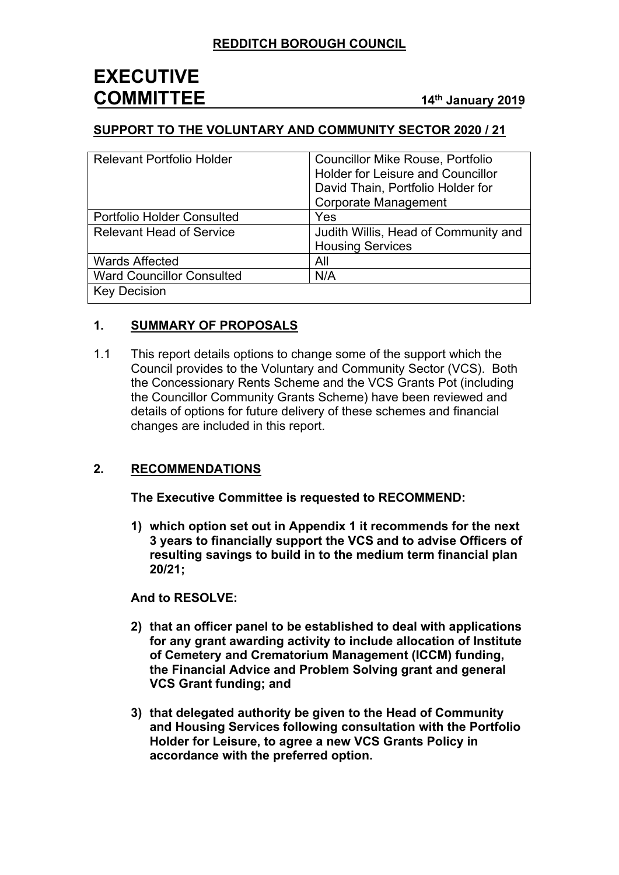### **SUPPORT TO THE VOLUNTARY AND COMMUNITY SECTOR 2020 / 21**

| <b>Relevant Portfolio Holder</b>  | <b>Councillor Mike Rouse, Portfolio</b><br><b>Holder for Leisure and Councillor</b><br>David Thain, Portfolio Holder for<br><b>Corporate Management</b> |
|-----------------------------------|---------------------------------------------------------------------------------------------------------------------------------------------------------|
| <b>Portfolio Holder Consulted</b> | Yes                                                                                                                                                     |
| <b>Relevant Head of Service</b>   | Judith Willis, Head of Community and<br><b>Housing Services</b>                                                                                         |
| <b>Wards Affected</b>             | All                                                                                                                                                     |
| <b>Ward Councillor Consulted</b>  | N/A                                                                                                                                                     |
| <b>Key Decision</b>               |                                                                                                                                                         |

## **1. SUMMARY OF PROPOSALS**

1.1 This report details options to change some of the support which the Council provides to the Voluntary and Community Sector (VCS). Both the Concessionary Rents Scheme and the VCS Grants Pot (including the Councillor Community Grants Scheme) have been reviewed and details of options for future delivery of these schemes and financial changes are included in this report.

## **2. RECOMMENDATIONS**

**The Executive Committee is requested to RECOMMEND:**

**1) which option set out in Appendix 1 it recommends for the next 3 years to financially support the VCS and to advise Officers of resulting savings to build in to the medium term financial plan 20/21;**

**And to RESOLVE:**

- **2) that an officer panel to be established to deal with applications for any grant awarding activity to include allocation of Institute of Cemetery and Crematorium Management (ICCM) funding, the Financial Advice and Problem Solving grant and general VCS Grant funding; and**
- **3) that delegated authority be given to the Head of Community and Housing Services following consultation with the Portfolio Holder for Leisure, to agree a new VCS Grants Policy in accordance with the preferred option.**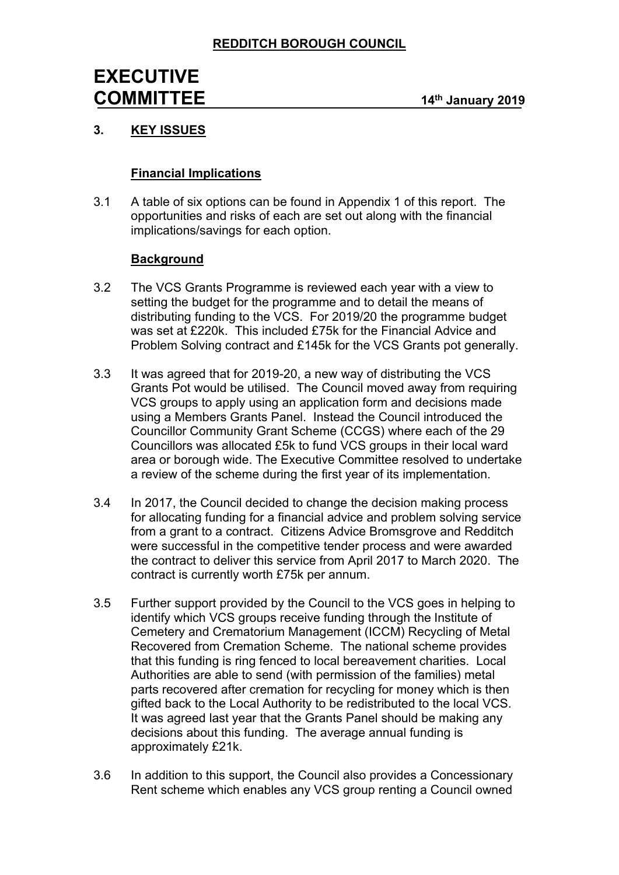# **3. KEY ISSUES**

### **Financial Implications**

3.1 A table of six options can be found in Appendix 1 of this report. The opportunities and risks of each are set out along with the financial implications/savings for each option.

### **Background**

- 3.2 The VCS Grants Programme is reviewed each year with a view to setting the budget for the programme and to detail the means of distributing funding to the VCS. For 2019/20 the programme budget was set at £220k. This included £75k for the Financial Advice and Problem Solving contract and £145k for the VCS Grants pot generally.
- 3.3 It was agreed that for 2019-20, a new way of distributing the VCS Grants Pot would be utilised. The Council moved away from requiring VCS groups to apply using an application form and decisions made using a Members Grants Panel. Instead the Council introduced the Councillor Community Grant Scheme (CCGS) where each of the 29 Councillors was allocated £5k to fund VCS groups in their local ward area or borough wide. The Executive Committee resolved to undertake a review of the scheme during the first year of its implementation.
- 3.4 In 2017, the Council decided to change the decision making process for allocating funding for a financial advice and problem solving service from a grant to a contract. Citizens Advice Bromsgrove and Redditch were successful in the competitive tender process and were awarded the contract to deliver this service from April 2017 to March 2020. The contract is currently worth £75k per annum.
- 3.5 Further support provided by the Council to the VCS goes in helping to identify which VCS groups receive funding through the Institute of Cemetery and Crematorium Management (ICCM) Recycling of Metal Recovered from Cremation Scheme. The national scheme provides that this funding is ring fenced to local bereavement charities. Local Authorities are able to send (with permission of the families) metal parts recovered after cremation for recycling for money which is then gifted back to the Local Authority to be redistributed to the local VCS. It was agreed last year that the Grants Panel should be making any decisions about this funding. The average annual funding is approximately £21k.
- 3.6 In addition to this support, the Council also provides a Concessionary Rent scheme which enables any VCS group renting a Council owned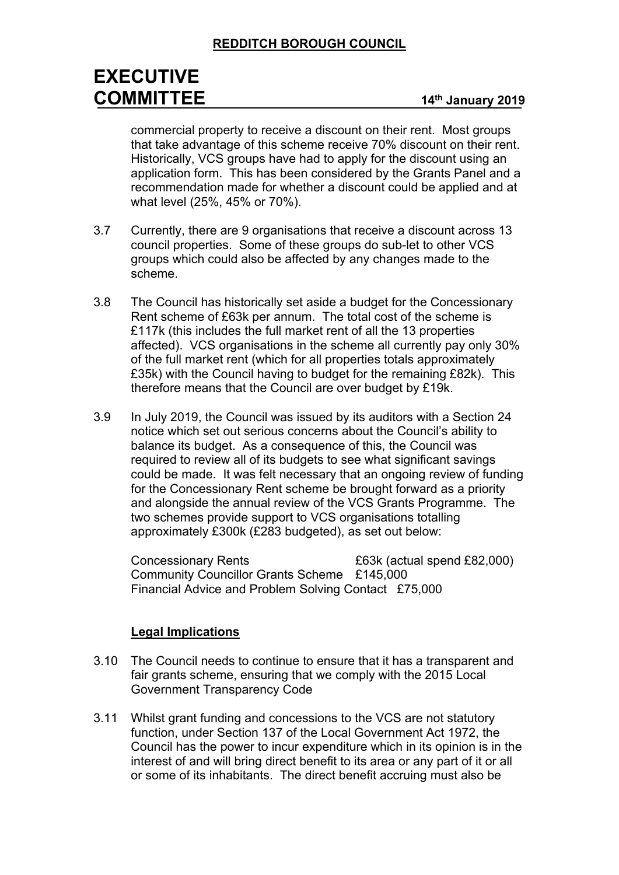# **REDDITCH BOROUGH COUNCIL**

# **EXECUTIVE COMMITTEE <sup>14</sup>th January <sup>2019</sup>**

commercial property to receive a discount on their rent. Most groups that take advantage of this scheme receive 70% discount on their rent. Historically, VCS groups have had to apply for the discount using an application form. This has been considered by the Grants Panel and a recommendation made for whether a discount could be applied and at what level (25%, 45% or 70%).

- 3.7 Currently, there are 9 organisations that receive a discount across 13 council properties. Some of these groups do sub-let to other VCS groups which could also be affected by any changes made to the scheme.
- 3.8 The Council has historically set aside a budget for the Concessionary Rent scheme of £63k per annum. The total cost of the scheme is £117k (this includes the full market rent of all the 13 properties affected). VCS organisations in the scheme all currently pay only 30% of the full market rent (which for all properties totals approximately £35k) with the Council having to budget for the remaining £82k). This therefore means that the Council are over budget by £19k.
- 3.9 In July 2019, the Council was issued by its auditors with a Section 24 notice which set out serious concerns about the Council's ability to balance its budget. As a consequence of this, the Council was required to review all of its budgets to see what significant savings could be made. It was felt necessary that an ongoing review of funding for the Concessionary Rent scheme be brought forward as a priority and alongside the annual review of the VCS Grants Programme. The two schemes provide support to VCS organisations totalling approximately £300k (£283 budgeted), as set out below:

Concessionary Rents £63k (actual spend £82,000) Community Councillor Grants Scheme £145,000 Financial Advice and Problem Solving Contact £75,000

#### **Legal Implications**

- 3.10 The Council needs to continue to ensure that it has a transparent and fair grants scheme, ensuring that we comply with the 2015 Local Government Transparency Code
- 3.11 Whilst grant funding and concessions to the VCS are not statutory function, under Section 137 of the Local Government Act 1972, the Council has the power to incur expenditure which in its opinion is in the interest of and will bring direct benefit to its area or any part of it or all or some of its inhabitants. The direct benefit accruing must also be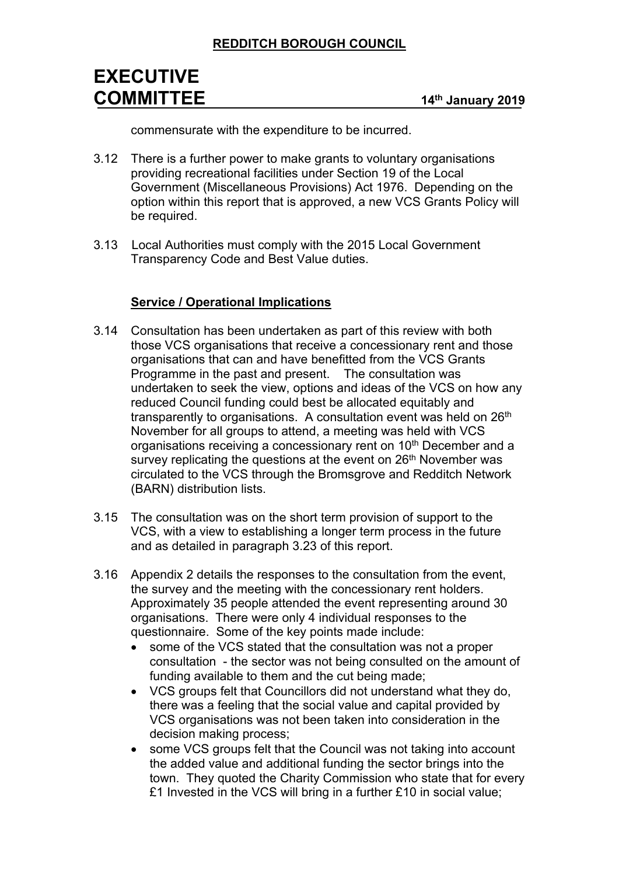commensurate with the expenditure to be incurred.

- 3.12 There is a further power to make grants to voluntary organisations providing recreational facilities under Section 19 of the Local Government (Miscellaneous Provisions) Act 1976. Depending on the option within this report that is approved, a new VCS Grants Policy will be required.
- 3.13 Local Authorities must comply with the 2015 Local Government Transparency Code and Best Value duties.

### **Service / Operational Implications**

- 3.14 Consultation has been undertaken as part of this review with both those VCS organisations that receive a concessionary rent and those organisations that can and have benefitted from the VCS Grants Programme in the past and present. The consultation was undertaken to seek the view, options and ideas of the VCS on how any reduced Council funding could best be allocated equitably and transparently to organisations. A consultation event was held on 26<sup>th</sup> November for all groups to attend, a meeting was held with VCS organisations receiving a concessionary rent on 10<sup>th</sup> December and a survey replicating the questions at the event on 26<sup>th</sup> November was circulated to the VCS through the Bromsgrove and Redditch Network (BARN) distribution lists.
- 3.15 The consultation was on the short term provision of support to the VCS, with a view to establishing a longer term process in the future and as detailed in paragraph 3.23 of this report.
- 3.16 Appendix 2 details the responses to the consultation from the event, the survey and the meeting with the concessionary rent holders. Approximately 35 people attended the event representing around 30 organisations. There were only 4 individual responses to the questionnaire. Some of the key points made include:
	- some of the VCS stated that the consultation was not a proper consultation - the sector was not being consulted on the amount of funding available to them and the cut being made;
	- VCS groups felt that Councillors did not understand what they do, there was a feeling that the social value and capital provided by VCS organisations was not been taken into consideration in the decision making process;
	- some VCS groups felt that the Council was not taking into account the added value and additional funding the sector brings into the town. They quoted the Charity Commission who state that for every £1 Invested in the VCS will bring in a further £10 in social value;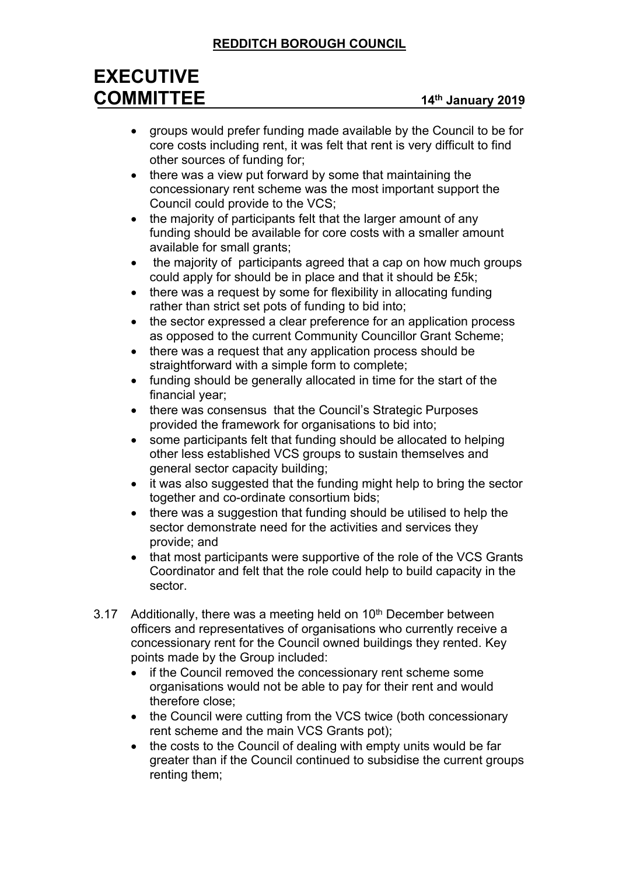# **REDDITCH BOROUGH COUNCIL**

# **EXECUTIVE COMMITTEE <sup>14</sup>th January <sup>2019</sup>**

- groups would prefer funding made available by the Council to be for core costs including rent, it was felt that rent is very difficult to find other sources of funding for;
- there was a view put forward by some that maintaining the concessionary rent scheme was the most important support the Council could provide to the VCS;
- the majority of participants felt that the larger amount of any funding should be available for core costs with a smaller amount available for small grants;
- the majority of participants agreed that a cap on how much groups could apply for should be in place and that it should be £5k;
- there was a request by some for flexibility in allocating funding rather than strict set pots of funding to bid into;
- the sector expressed a clear preference for an application process as opposed to the current Community Councillor Grant Scheme;
- there was a request that any application process should be straightforward with a simple form to complete;
- funding should be generally allocated in time for the start of the financial year;
- there was consensus that the Council's Strategic Purposes provided the framework for organisations to bid into;
- some participants felt that funding should be allocated to helping other less established VCS groups to sustain themselves and general sector capacity building;
- it was also suggested that the funding might help to bring the sector together and co-ordinate consortium bids;
- there was a suggestion that funding should be utilised to help the sector demonstrate need for the activities and services they provide; and
- that most participants were supportive of the role of the VCS Grants Coordinator and felt that the role could help to build capacity in the sector.
- 3.17 Additionally, there was a meeting held on  $10<sup>th</sup>$  December between officers and representatives of organisations who currently receive a concessionary rent for the Council owned buildings they rented. Key points made by the Group included:
	- if the Council removed the concessionary rent scheme some organisations would not be able to pay for their rent and would therefore close;
	- the Council were cutting from the VCS twice (both concessionary rent scheme and the main VCS Grants pot);
	- the costs to the Council of dealing with empty units would be far greater than if the Council continued to subsidise the current groups renting them;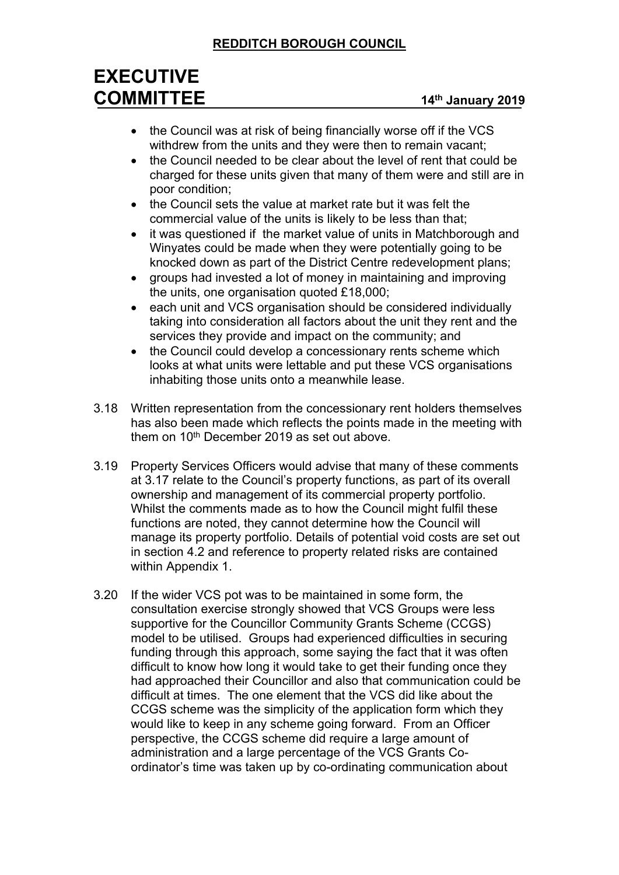# **REDDITCH BOROUGH COUNCIL**

# **EXECUTIVE COMMITTEE <sup>14</sup>th January <sup>2019</sup>**

- the Council was at risk of being financially worse off if the VCS withdrew from the units and they were then to remain vacant;
- the Council needed to be clear about the level of rent that could be charged for these units given that many of them were and still are in poor condition;
- the Council sets the value at market rate but it was felt the commercial value of the units is likely to be less than that;
- it was questioned if the market value of units in Matchborough and Winyates could be made when they were potentially going to be knocked down as part of the District Centre redevelopment plans;
- groups had invested a lot of money in maintaining and improving the units, one organisation quoted £18,000;
- each unit and VCS organisation should be considered individually taking into consideration all factors about the unit they rent and the services they provide and impact on the community; and
- the Council could develop a concessionary rents scheme which looks at what units were lettable and put these VCS organisations inhabiting those units onto a meanwhile lease.
- 3.18 Written representation from the concessionary rent holders themselves has also been made which reflects the points made in the meeting with them on 10th December 2019 as set out above.
- 3.19 Property Services Officers would advise that many of these comments at 3.17 relate to the Council's property functions, as part of its overall ownership and management of its commercial property portfolio. Whilst the comments made as to how the Council might fulfil these functions are noted, they cannot determine how the Council will manage its property portfolio. Details of potential void costs are set out in section 4.2 and reference to property related risks are contained within Appendix 1.
- 3.20 If the wider VCS pot was to be maintained in some form, the consultation exercise strongly showed that VCS Groups were less supportive for the Councillor Community Grants Scheme (CCGS) model to be utilised. Groups had experienced difficulties in securing funding through this approach, some saying the fact that it was often difficult to know how long it would take to get their funding once they had approached their Councillor and also that communication could be difficult at times. The one element that the VCS did like about the CCGS scheme was the simplicity of the application form which they would like to keep in any scheme going forward. From an Officer perspective, the CCGS scheme did require a large amount of administration and a large percentage of the VCS Grants Coordinator's time was taken up by co-ordinating communication about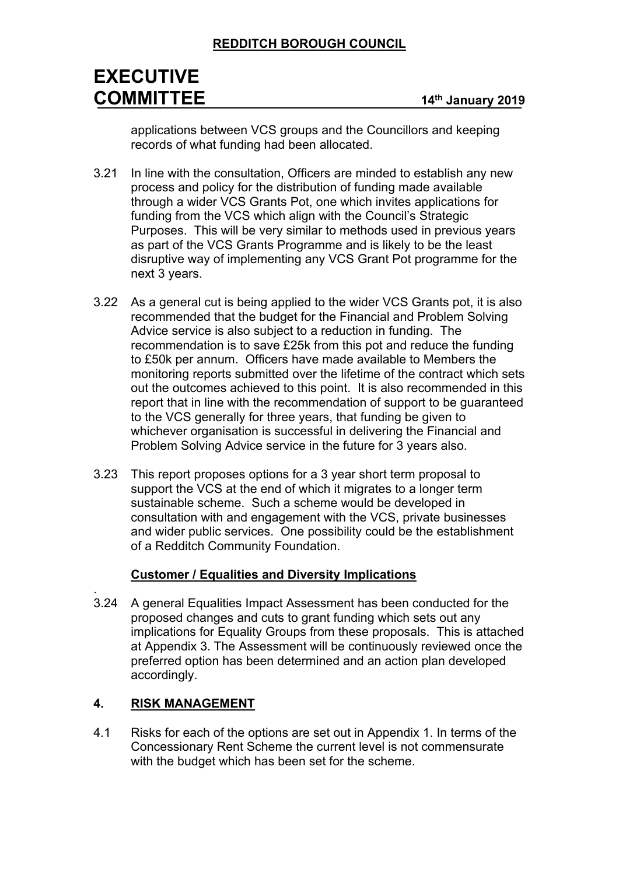applications between VCS groups and the Councillors and keeping records of what funding had been allocated.

- 3.21 In line with the consultation, Officers are minded to establish any new process and policy for the distribution of funding made available through a wider VCS Grants Pot, one which invites applications for funding from the VCS which align with the Council's Strategic Purposes. This will be very similar to methods used in previous years as part of the VCS Grants Programme and is likely to be the least disruptive way of implementing any VCS Grant Pot programme for the next 3 years.
- 3.22 As a general cut is being applied to the wider VCS Grants pot, it is also recommended that the budget for the Financial and Problem Solving Advice service is also subject to a reduction in funding. The recommendation is to save £25k from this pot and reduce the funding to £50k per annum. Officers have made available to Members the monitoring reports submitted over the lifetime of the contract which sets out the outcomes achieved to this point. It is also recommended in this report that in line with the recommendation of support to be guaranteed to the VCS generally for three years, that funding be given to whichever organisation is successful in delivering the Financial and Problem Solving Advice service in the future for 3 years also.
- 3.23 This report proposes options for a 3 year short term proposal to support the VCS at the end of which it migrates to a longer term sustainable scheme. Such a scheme would be developed in consultation with and engagement with the VCS, private businesses and wider public services. One possibility could be the establishment of a Redditch Community Foundation.

#### **Customer / Equalities and Diversity Implications**

3.24 A general Equalities Impact Assessment has been conducted for the proposed changes and cuts to grant funding which sets out any implications for Equality Groups from these proposals. This is attached at Appendix 3. The Assessment will be continuously reviewed once the preferred option has been determined and an action plan developed accordingly.

## **4. RISK MANAGEMENT**

.

4.1 Risks for each of the options are set out in Appendix 1. In terms of the Concessionary Rent Scheme the current level is not commensurate with the budget which has been set for the scheme.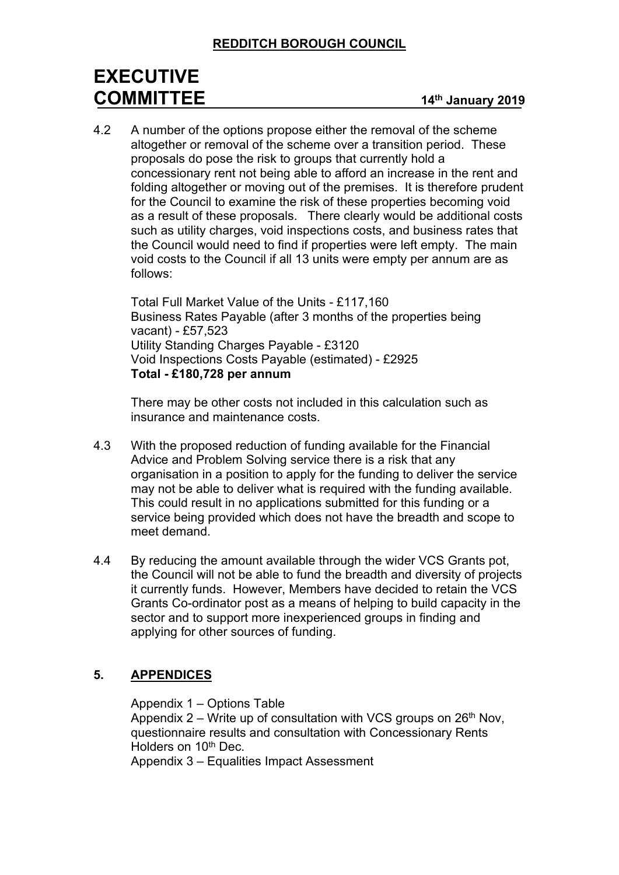4.2 A number of the options propose either the removal of the scheme altogether or removal of the scheme over a transition period. These proposals do pose the risk to groups that currently hold a concessionary rent not being able to afford an increase in the rent and folding altogether or moving out of the premises. It is therefore prudent for the Council to examine the risk of these properties becoming void as a result of these proposals. There clearly would be additional costs such as utility charges, void inspections costs, and business rates that the Council would need to find if properties were left empty. The main void costs to the Council if all 13 units were empty per annum are as follows:

Total Full Market Value of the Units - £117,160 Business Rates Payable (after 3 months of the properties being vacant) - £57,523 Utility Standing Charges Payable - £3120 Void Inspections Costs Payable (estimated) - £2925 **Total - £180,728 per annum**

There may be other costs not included in this calculation such as insurance and maintenance costs.

- 4.3 With the proposed reduction of funding available for the Financial Advice and Problem Solving service there is a risk that any organisation in a position to apply for the funding to deliver the service may not be able to deliver what is required with the funding available. This could result in no applications submitted for this funding or a service being provided which does not have the breadth and scope to meet demand.
- 4.4 By reducing the amount available through the wider VCS Grants pot, the Council will not be able to fund the breadth and diversity of projects it currently funds. However, Members have decided to retain the VCS Grants Co-ordinator post as a means of helping to build capacity in the sector and to support more inexperienced groups in finding and applying for other sources of funding.

## **5. APPENDICES**

Appendix 1 – Options Table

Appendix  $2$  – Write up of consultation with VCS groups on  $26<sup>th</sup>$  Nov, questionnaire results and consultation with Concessionary Rents Holders on 10<sup>th</sup> Dec.

Appendix 3 – Equalities Impact Assessment